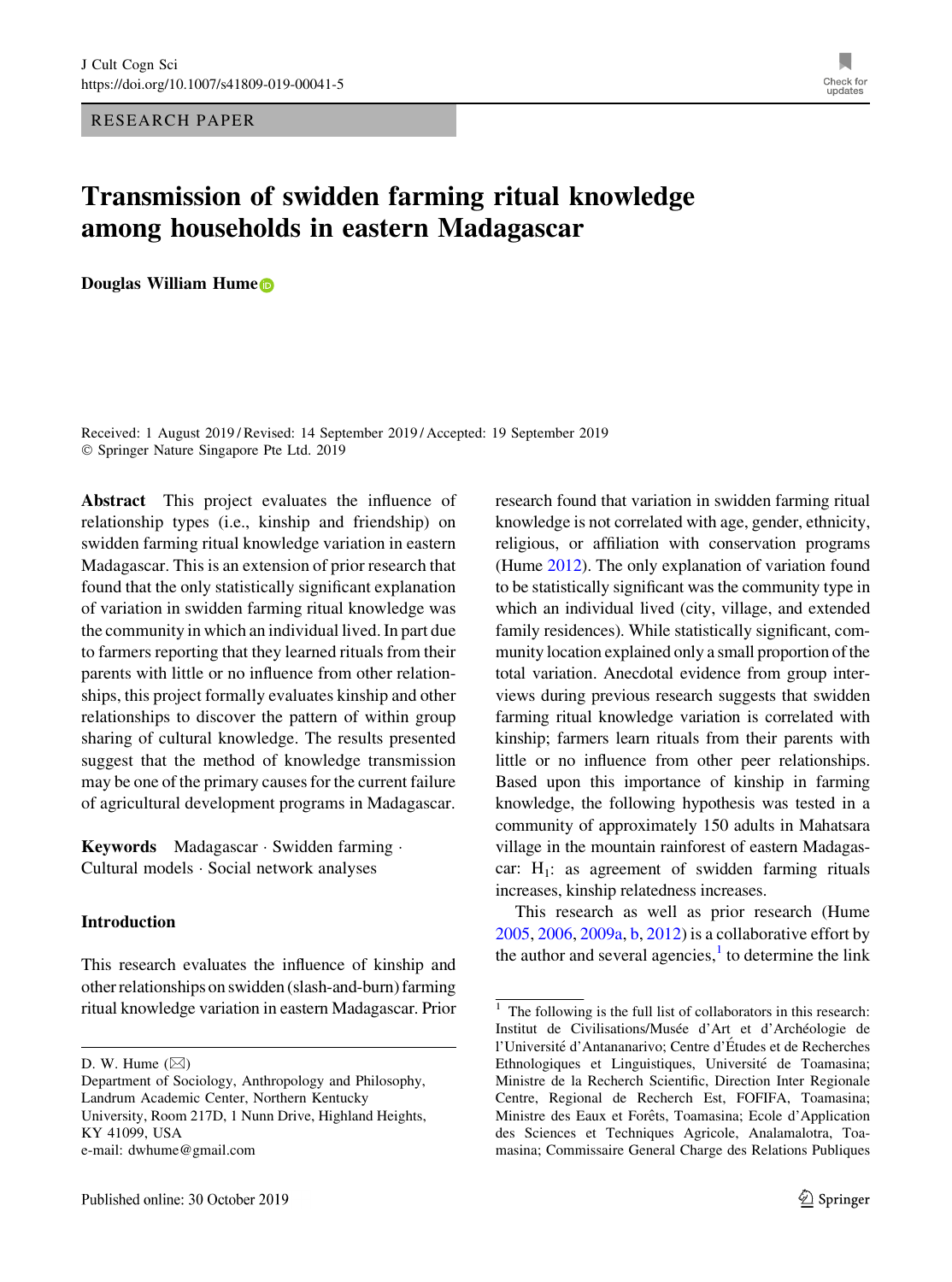RESEARCH PAPER



# Transmission of swidden farming ritual knowledge among households in eastern Madagascar

Douglas William Hum[e](http://orcid.org/0000-0002-5650-2910)<sup>®</sup>

Received: 1 August 2019 / Revised: 14 September 2019 / Accepted: 19 September 2019 © Springer Nature Singapore Pte Ltd. 2019

Abstract This project evaluates the influence of relationship types (i.e., kinship and friendship) on swidden farming ritual knowledge variation in eastern Madagascar. This is an extension of prior research that found that the only statistically significant explanation of variation in swidden farming ritual knowledge was the community in which an individual lived. In part due to farmers reporting that they learned rituals from their parents with little or no influence from other relationships, this project formally evaluates kinship and other relationships to discover the pattern of within group sharing of cultural knowledge. The results presented suggest that the method of knowledge transmission may be one of the primary causes for the current failure of agricultural development programs in Madagascar.

Keywords Madagascar - Swidden farming - Cultural models - Social network analyses

#### Introduction

This research evaluates the influence of kinship and other relationships on swidden (slash-and-burn) farming ritual knowledge variation in eastern Madagascar. Prior

D. W. Hume  $(\boxtimes)$ 

research found that variation in swidden farming ritual knowledge is not correlated with age, gender, ethnicity, religious, or affiliation with conservation programs (Hume [2012](#page-12-0)). The only explanation of variation found to be statistically significant was the community type in which an individual lived (city, village, and extended family residences). While statistically significant, community location explained only a small proportion of the total variation. Anecdotal evidence from group interviews during previous research suggests that swidden farming ritual knowledge variation is correlated with kinship; farmers learn rituals from their parents with little or no influence from other peer relationships. Based upon this importance of kinship in farming knowledge, the following hypothesis was tested in a community of approximately 150 adults in Mahatsara village in the mountain rainforest of eastern Madagascar:  $H_1$ : as agreement of swidden farming rituals increases, kinship relatedness increases.

This research as well as prior research (Hume [2005,](#page-12-0) [2006](#page-12-0), [2009a](#page-12-0), [b](#page-12-0), [2012\)](#page-12-0) is a collaborative effort by the author and several agencies, $\frac{1}{1}$  to determine the link

Department of Sociology, Anthropology and Philosophy, Landrum Academic Center, Northern Kentucky University, Room 217D, 1 Nunn Drive, Highland Heights, KY 41099, USA e-mail: dwhume@gmail.com

 $1$  The following is the full list of collaborators in this research: Institut de Civilisations/Musée d'Art et d'Archéologie de l'Université d'Antananarivo; Centre d'Études et de Recherches Ethnologiques et Linguistiques, Université de Toamasina; Ministre de la Recherch Scientific, Direction Inter Regionale Centre, Regional de Recherch Est, FOFIFA, Toamasina; Ministre des Eaux et Forêts, Toamasina; Ecole d'Application des Sciences et Techniques Agricole, Analamalotra, Toamasina; Commissaire General Charge des Relations Publiques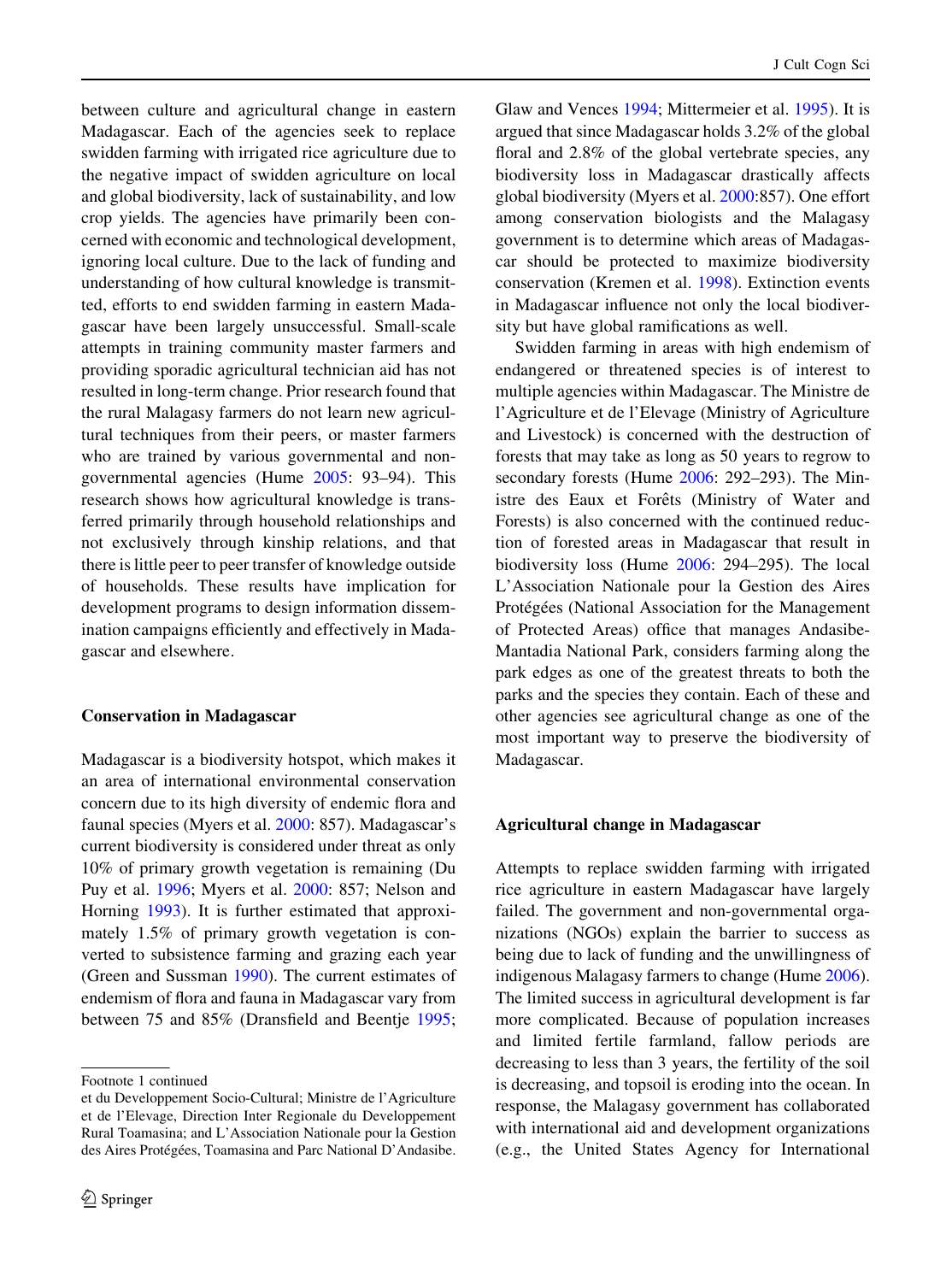between culture and agricultural change in eastern Madagascar. Each of the agencies seek to replace swidden farming with irrigated rice agriculture due to the negative impact of swidden agriculture on local and global biodiversity, lack of sustainability, and low crop yields. The agencies have primarily been concerned with economic and technological development, ignoring local culture. Due to the lack of funding and understanding of how cultural knowledge is transmitted, efforts to end swidden farming in eastern Madagascar have been largely unsuccessful. Small-scale attempts in training community master farmers and providing sporadic agricultural technician aid has not resulted in long-term change. Prior research found that the rural Malagasy farmers do not learn new agricultural techniques from their peers, or master farmers who are trained by various governmental and nongovernmental agencies (Hume [2005](#page-12-0): 93–94). This research shows how agricultural knowledge is transferred primarily through household relationships and not exclusively through kinship relations, and that there is little peer to peer transfer of knowledge outside of households. These results have implication for development programs to design information dissemination campaigns efficiently and effectively in Madagascar and elsewhere.

#### Conservation in Madagascar

Madagascar is a biodiversity hotspot, which makes it an area of international environmental conservation concern due to its high diversity of endemic flora and faunal species (Myers et al. [2000](#page-12-0): 857). Madagascar's current biodiversity is considered under threat as only 10% of primary growth vegetation is remaining (Du Puy et al. [1996;](#page-11-0) Myers et al. [2000:](#page-12-0) 857; Nelson and Horning [1993](#page-12-0)). It is further estimated that approximately 1.5% of primary growth vegetation is converted to subsistence farming and grazing each year (Green and Sussman [1990\)](#page-11-0). The current estimates of endemism of flora and fauna in Madagascar vary from between 75 and 85% (Dransfield and Beentje [1995](#page-11-0);

Glaw and Vences [1994](#page-11-0); Mittermeier et al. [1995](#page-12-0)). It is argued that since Madagascar holds 3.2% of the global floral and 2.8% of the global vertebrate species, any biodiversity loss in Madagascar drastically affects global biodiversity (Myers et al. [2000:](#page-12-0)857). One effort among conservation biologists and the Malagasy government is to determine which areas of Madagascar should be protected to maximize biodiversity conservation (Kremen et al. [1998\)](#page-12-0). Extinction events in Madagascar influence not only the local biodiversity but have global ramifications as well.

Swidden farming in areas with high endemism of endangered or threatened species is of interest to multiple agencies within Madagascar. The Ministre de l'Agriculture et de l'Elevage (Ministry of Agriculture and Livestock) is concerned with the destruction of forests that may take as long as 50 years to regrow to secondary forests (Hume [2006](#page-12-0): 292–293). The Ministre des Eaux et Forêts (Ministry of Water and Forests) is also concerned with the continued reduction of forested areas in Madagascar that result in biodiversity loss (Hume [2006:](#page-12-0) 294–295). The local L'Association Nationale pour la Gestion des Aires Protégées (National Association for the Management of Protected Areas) office that manages Andasibe-Mantadia National Park, considers farming along the park edges as one of the greatest threats to both the parks and the species they contain. Each of these and other agencies see agricultural change as one of the most important way to preserve the biodiversity of Madagascar.

#### Agricultural change in Madagascar

Attempts to replace swidden farming with irrigated rice agriculture in eastern Madagascar have largely failed. The government and non-governmental organizations (NGOs) explain the barrier to success as being due to lack of funding and the unwillingness of indigenous Malagasy farmers to change (Hume [2006](#page-12-0)). The limited success in agricultural development is far more complicated. Because of population increases and limited fertile farmland, fallow periods are decreasing to less than 3 years, the fertility of the soil is decreasing, and topsoil is eroding into the ocean. In response, the Malagasy government has collaborated with international aid and development organizations (e.g., the United States Agency for International

Footnote 1 continued

et du Developpement Socio-Cultural; Ministre de l'Agriculture et de l'Elevage, Direction Inter Regionale du Developpement Rural Toamasina; and L'Association Nationale pour la Gestion des Aires Protégées, Toamasina and Parc National D'Andasibe.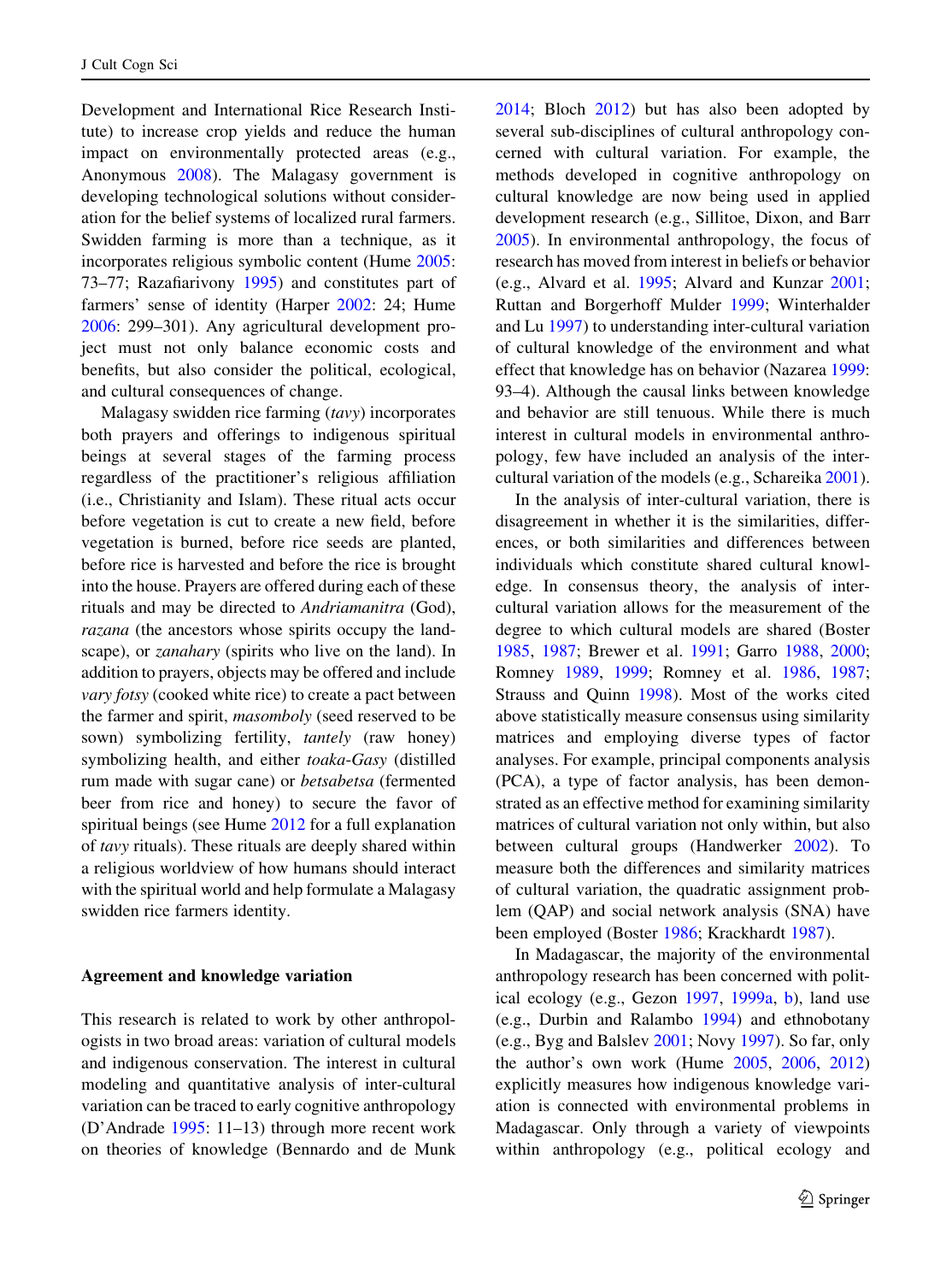Development and International Rice Research Institute) to increase crop yields and reduce the human impact on environmentally protected areas (e.g., Anonymous [2008\)](#page-11-0). The Malagasy government is developing technological solutions without consideration for the belief systems of localized rural farmers. Swidden farming is more than a technique, as it incorporates religious symbolic content (Hume [2005](#page-12-0): 73–77; Razafiarivony [1995\)](#page-12-0) and constitutes part of farmers' sense of identity (Harper [2002:](#page-11-0) 24; Hume [2006:](#page-12-0) 299–301). Any agricultural development project must not only balance economic costs and benefits, but also consider the political, ecological, and cultural consequences of change.

Malagasy swidden rice farming  $(tavy)$  incorporates both prayers and offerings to indigenous spiritual beings at several stages of the farming process regardless of the practitioner's religious affiliation (i.e., Christianity and Islam). These ritual acts occur before vegetation is cut to create a new field, before vegetation is burned, before rice seeds are planted, before rice is harvested and before the rice is brought into the house. Prayers are offered during each of these rituals and may be directed to Andriamanitra (God), razana (the ancestors whose spirits occupy the landscape), or *zanahary* (spirits who live on the land). In addition to prayers, objects may be offered and include vary fotsy (cooked white rice) to create a pact between the farmer and spirit, masomboly (seed reserved to be sown) symbolizing fertility, *tantely* (raw honey) symbolizing health, and either toaka-Gasy (distilled rum made with sugar cane) or betsabetsa (fermented beer from rice and honey) to secure the favor of spiritual beings (see Hume [2012](#page-12-0) for a full explanation of tavy rituals). These rituals are deeply shared within a religious worldview of how humans should interact with the spiritual world and help formulate a Malagasy swidden rice farmers identity.

#### Agreement and knowledge variation

This research is related to work by other anthropologists in two broad areas: variation of cultural models and indigenous conservation. The interest in cultural modeling and quantitative analysis of inter-cultural variation can be traced to early cognitive anthropology (D'Andrade [1995](#page-11-0): 11–13) through more recent work on theories of knowledge (Bennardo and de Munk [2014;](#page-11-0) Bloch [2012](#page-11-0)) but has also been adopted by several sub-disciplines of cultural anthropology concerned with cultural variation. For example, the methods developed in cognitive anthropology on cultural knowledge are now being used in applied development research (e.g., Sillitoe, Dixon, and Barr [2005\)](#page-12-0). In environmental anthropology, the focus of research has moved from interest in beliefs or behavior (e.g., Alvard et al. [1995;](#page-11-0) Alvard and Kunzar [2001](#page-11-0); Ruttan and Borgerhoff Mulder [1999;](#page-12-0) Winterhalder and Lu [1997](#page-12-0)) to understanding inter-cultural variation of cultural knowledge of the environment and what effect that knowledge has on behavior (Nazarea [1999](#page-12-0): 93–4). Although the causal links between knowledge and behavior are still tenuous. While there is much interest in cultural models in environmental anthropology, few have included an analysis of the intercultural variation of the models (e.g., Schareika [2001](#page-12-0)).

In the analysis of inter-cultural variation, there is disagreement in whether it is the similarities, differences, or both similarities and differences between individuals which constitute shared cultural knowledge. In consensus theory, the analysis of intercultural variation allows for the measurement of the degree to which cultural models are shared (Boster [1985,](#page-11-0) [1987](#page-11-0); Brewer et al. [1991;](#page-11-0) Garro [1988](#page-11-0), [2000](#page-11-0); Romney [1989](#page-12-0), [1999;](#page-12-0) Romney et al. [1986](#page-12-0), [1987](#page-12-0); Strauss and Quinn [1998\)](#page-12-0). Most of the works cited above statistically measure consensus using similarity matrices and employing diverse types of factor analyses. For example, principal components analysis (PCA), a type of factor analysis, has been demonstrated as an effective method for examining similarity matrices of cultural variation not only within, but also between cultural groups (Handwerker [2002](#page-11-0)). To measure both the differences and similarity matrices of cultural variation, the quadratic assignment problem (QAP) and social network analysis (SNA) have been employed (Boster [1986](#page-11-0); Krackhardt [1987](#page-12-0)).

In Madagascar, the majority of the environmental anthropology research has been concerned with political ecology (e.g., Gezon [1997,](#page-11-0) [1999a](#page-11-0), [b\)](#page-11-0), land use (e.g., Durbin and Ralambo [1994](#page-11-0)) and ethnobotany (e.g., Byg and Balslev [2001;](#page-11-0) Novy [1997](#page-12-0)). So far, only the author's own work (Hume [2005,](#page-12-0) [2006](#page-12-0), [2012\)](#page-12-0) explicitly measures how indigenous knowledge variation is connected with environmental problems in Madagascar. Only through a variety of viewpoints within anthropology (e.g., political ecology and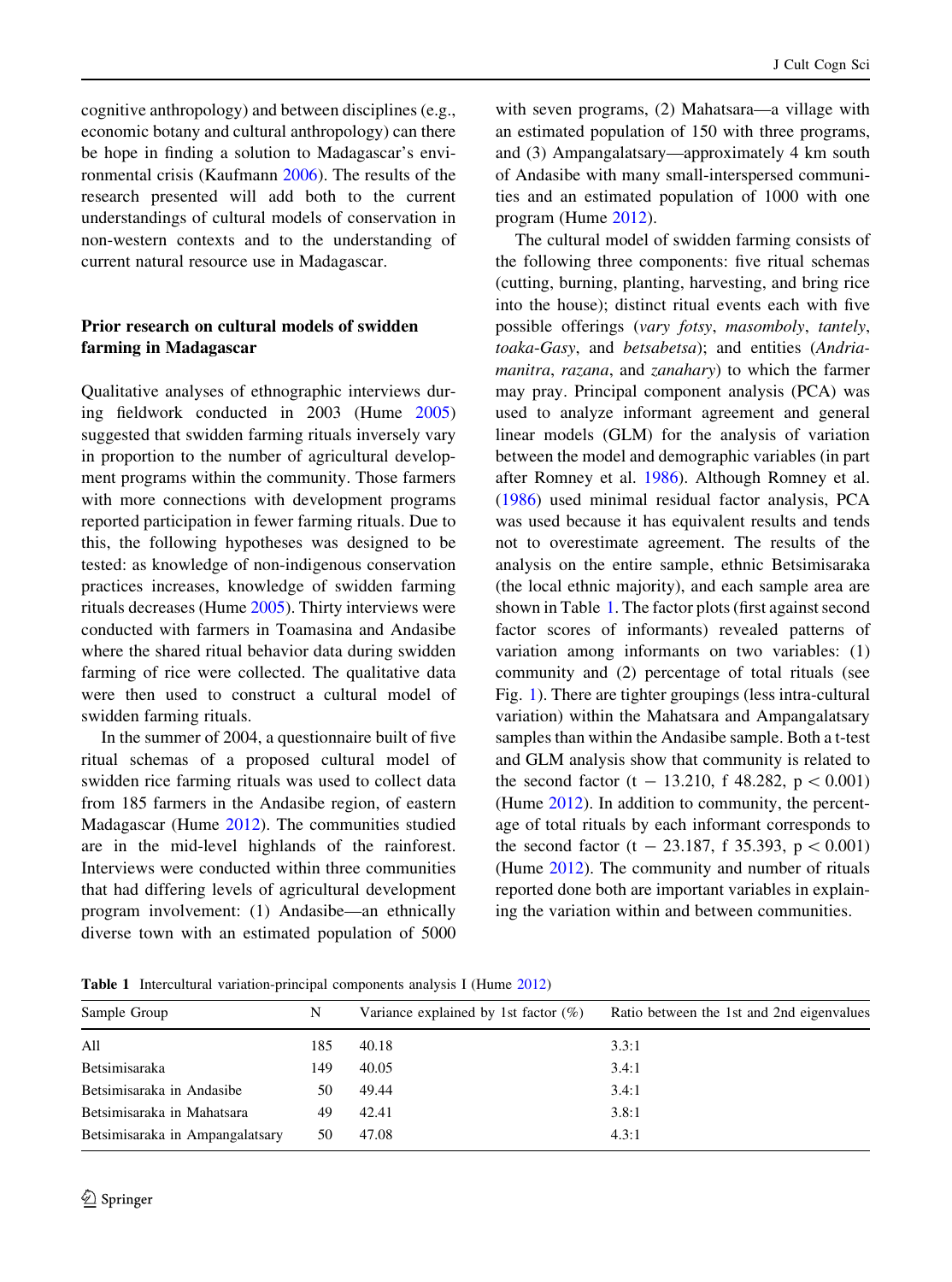cognitive anthropology) and between disciplines (e.g., economic botany and cultural anthropology) can there be hope in finding a solution to Madagascar's environmental crisis (Kaufmann [2006\)](#page-12-0). The results of the research presented will add both to the current understandings of cultural models of conservation in non-western contexts and to the understanding of current natural resource use in Madagascar.

# Prior research on cultural models of swidden farming in Madagascar

Qualitative analyses of ethnographic interviews during fieldwork conducted in 2003 (Hume [2005\)](#page-12-0) suggested that swidden farming rituals inversely vary in proportion to the number of agricultural development programs within the community. Those farmers with more connections with development programs reported participation in fewer farming rituals. Due to this, the following hypotheses was designed to be tested: as knowledge of non-indigenous conservation practices increases, knowledge of swidden farming rituals decreases (Hume [2005](#page-12-0)). Thirty interviews were conducted with farmers in Toamasina and Andasibe where the shared ritual behavior data during swidden farming of rice were collected. The qualitative data were then used to construct a cultural model of swidden farming rituals.

In the summer of 2004, a questionnaire built of five ritual schemas of a proposed cultural model of swidden rice farming rituals was used to collect data from 185 farmers in the Andasibe region, of eastern Madagascar (Hume [2012\)](#page-12-0). The communities studied are in the mid-level highlands of the rainforest. Interviews were conducted within three communities that had differing levels of agricultural development program involvement: (1) Andasibe—an ethnically diverse town with an estimated population of 5000

with seven programs, (2) Mahatsara—a village with an estimated population of 150 with three programs, and (3) Ampangalatsary—approximately 4 km south of Andasibe with many small-interspersed communities and an estimated population of 1000 with one program (Hume [2012](#page-12-0)).

The cultural model of swidden farming consists of the following three components: five ritual schemas (cutting, burning, planting, harvesting, and bring rice into the house); distinct ritual events each with five possible offerings (vary fotsy, masomboly, tantely, toaka-Gasy, and betsabetsa); and entities (Andriamanitra, razana, and zanahary) to which the farmer may pray. Principal component analysis (PCA) was used to analyze informant agreement and general linear models (GLM) for the analysis of variation between the model and demographic variables (in part after Romney et al. [1986\)](#page-12-0). Although Romney et al. [\(1986](#page-12-0)) used minimal residual factor analysis, PCA was used because it has equivalent results and tends not to overestimate agreement. The results of the analysis on the entire sample, ethnic Betsimisaraka (the local ethnic majority), and each sample area are shown in Table 1. The factor plots (first against second factor scores of informants) revealed patterns of variation among informants on two variables: (1) community and (2) percentage of total rituals (see Fig. [1\)](#page-4-0). There are tighter groupings (less intra-cultural variation) within the Mahatsara and Ampangalatsary samples than within the Andasibe sample. Both a t-test and GLM analysis show that community is related to the second factor  $(t - 13.210, f 48.282, p < 0.001)$ (Hume [2012](#page-12-0)). In addition to community, the percentage of total rituals by each informant corresponds to the second factor  $(t - 23.187, f \, 35.393, p < 0.001)$ (Hume [2012\)](#page-12-0). The community and number of rituals reported done both are important variables in explaining the variation within and between communities.

Table 1 Intercultural variation-principal components analysis I (Hume [2012](#page-12-0))

| Sample Group                    | N   | Variance explained by 1st factor $(\%)$ | Ratio between the 1st and 2nd eigenvalues |
|---------------------------------|-----|-----------------------------------------|-------------------------------------------|
| All                             | 185 | 40.18                                   | 3.3:1                                     |
| Betsimisaraka                   | 149 | 40.05                                   | 3.4:1                                     |
| Betsimisaraka in Andasibe       | 50  | 49.44                                   | 3.4:1                                     |
| Betsimisaraka in Mahatsara      | 49  | 42.41                                   | 3.8:1                                     |
| Betsimisaraka in Ampangalatsary | 50  | 47.08                                   | 4.3:1                                     |
|                                 |     |                                         |                                           |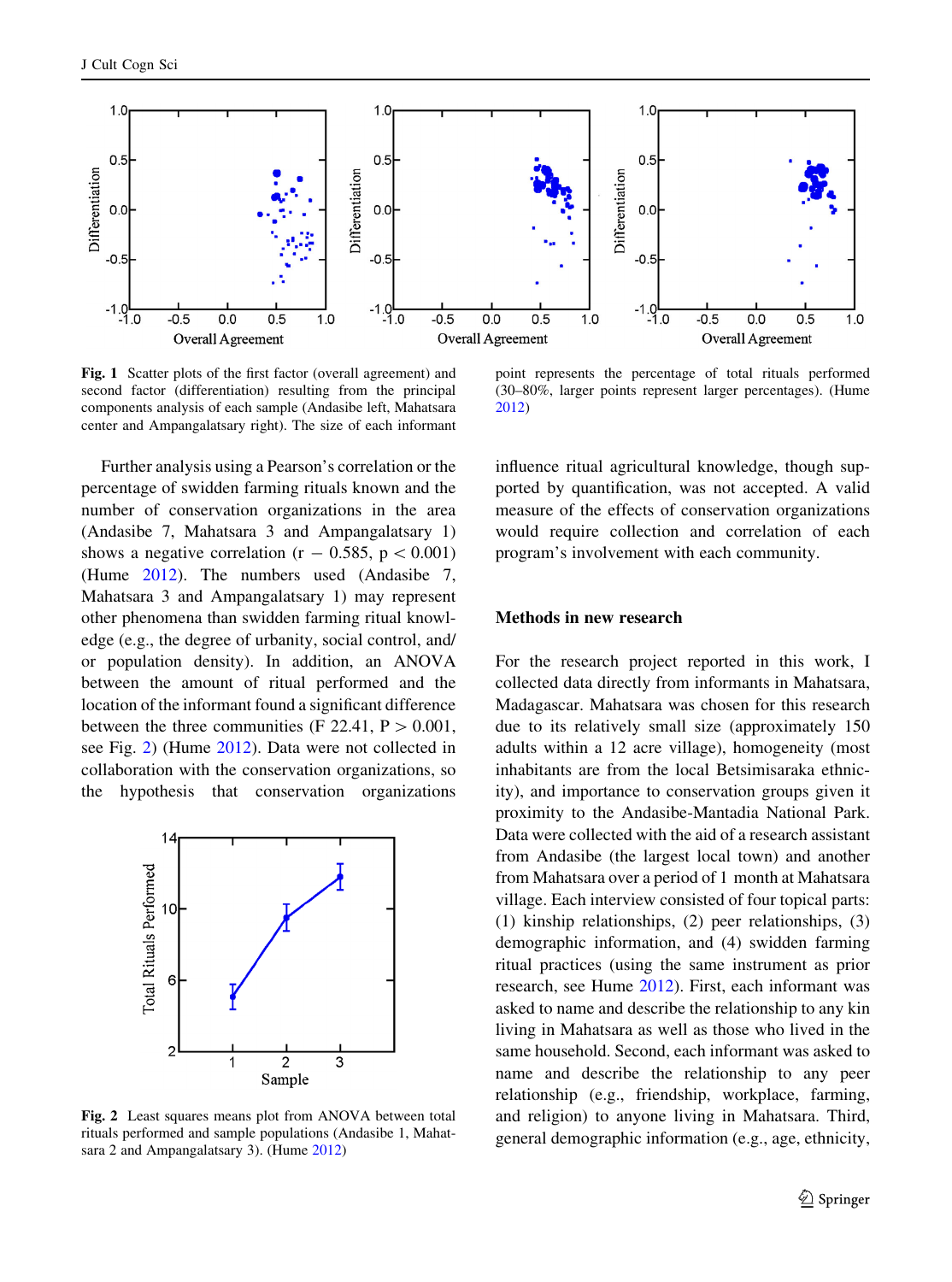<span id="page-4-0"></span>

Fig. 1 Scatter plots of the first factor (overall agreement) and second factor (differentiation) resulting from the principal components analysis of each sample (Andasibe left, Mahatsara center and Ampangalatsary right). The size of each informant

Further analysis using a Pearson's correlation or the percentage of swidden farming rituals known and the number of conservation organizations in the area (Andasibe 7, Mahatsara 3 and Ampangalatsary 1) shows a negative correlation  $(r - 0.585, p < 0.001)$ (Hume [2012\)](#page-12-0). The numbers used (Andasibe 7, Mahatsara 3 and Ampangalatsary 1) may represent other phenomena than swidden farming ritual knowledge (e.g., the degree of urbanity, social control, and/ or population density). In addition, an ANOVA between the amount of ritual performed and the location of the informant found a significant difference between the three communities (F 22.41,  $P > 0.001$ , see Fig. 2) (Hume [2012\)](#page-12-0). Data were not collected in collaboration with the conservation organizations, so the hypothesis that conservation organizations



Fig. 2 Least squares means plot from ANOVA between total rituals performed and sample populations (Andasibe 1, Mahatsara 2 and Ampangalatsary 3). (Hume [2012](#page-12-0))

point represents the percentage of total rituals performed (30–80%, larger points represent larger percentages). (Hume [2012\)](#page-12-0)

influence ritual agricultural knowledge, though supported by quantification, was not accepted. A valid measure of the effects of conservation organizations would require collection and correlation of each program's involvement with each community.

#### Methods in new research

For the research project reported in this work, I collected data directly from informants in Mahatsara, Madagascar. Mahatsara was chosen for this research due to its relatively small size (approximately 150 adults within a 12 acre village), homogeneity (most inhabitants are from the local Betsimisaraka ethnicity), and importance to conservation groups given it proximity to the Andasibe-Mantadia National Park. Data were collected with the aid of a research assistant from Andasibe (the largest local town) and another from Mahatsara over a period of 1 month at Mahatsara village. Each interview consisted of four topical parts: (1) kinship relationships, (2) peer relationships, (3) demographic information, and (4) swidden farming ritual practices (using the same instrument as prior research, see Hume [2012](#page-12-0)). First, each informant was asked to name and describe the relationship to any kin living in Mahatsara as well as those who lived in the same household. Second, each informant was asked to name and describe the relationship to any peer relationship (e.g., friendship, workplace, farming, and religion) to anyone living in Mahatsara. Third, general demographic information (e.g., age, ethnicity,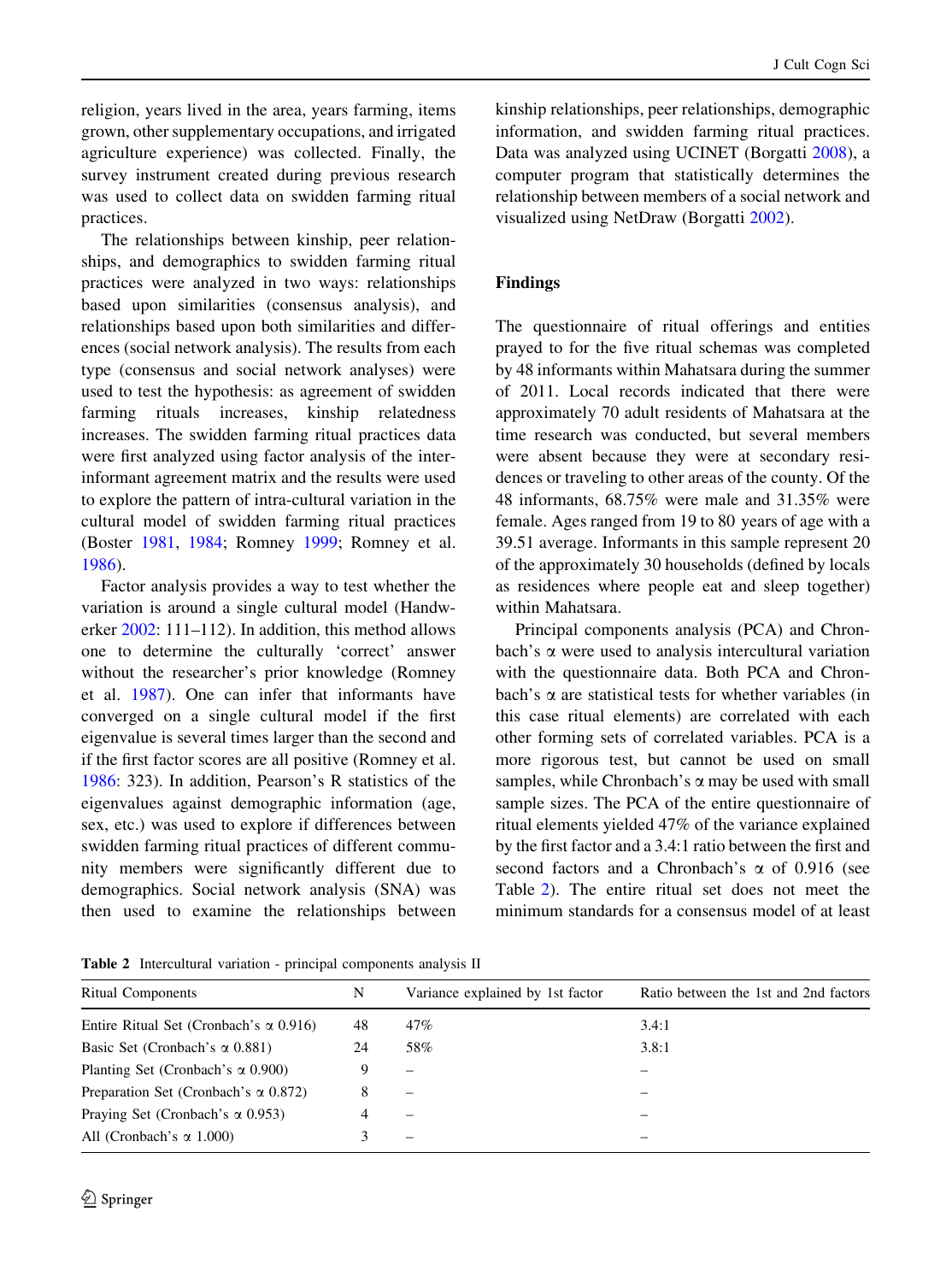<span id="page-5-0"></span>religion, years lived in the area, years farming, items grown, other supplementary occupations, and irrigated agriculture experience) was collected. Finally, the survey instrument created during previous research was used to collect data on swidden farming ritual practices.

The relationships between kinship, peer relationships, and demographics to swidden farming ritual practices were analyzed in two ways: relationships based upon similarities (consensus analysis), and relationships based upon both similarities and differences (social network analysis). The results from each type (consensus and social network analyses) were used to test the hypothesis: as agreement of swidden farming rituals increases, kinship relatedness increases. The swidden farming ritual practices data were first analyzed using factor analysis of the interinformant agreement matrix and the results were used to explore the pattern of intra-cultural variation in the cultural model of swidden farming ritual practices (Boster [1981,](#page-11-0) [1984](#page-11-0); Romney [1999](#page-12-0); Romney et al. [1986\)](#page-12-0).

Factor analysis provides a way to test whether the variation is around a single cultural model (Handwerker [2002:](#page-11-0) 111–112). In addition, this method allows one to determine the culturally 'correct' answer without the researcher's prior knowledge (Romney et al. [1987](#page-12-0)). One can infer that informants have converged on a single cultural model if the first eigenvalue is several times larger than the second and if the first factor scores are all positive (Romney et al. [1986:](#page-12-0) 323). In addition, Pearson's R statistics of the eigenvalues against demographic information (age, sex, etc.) was used to explore if differences between swidden farming ritual practices of different community members were significantly different due to demographics. Social network analysis (SNA) was then used to examine the relationships between kinship relationships, peer relationships, demographic information, and swidden farming ritual practices. Data was analyzed using UCINET (Borgatti [2008](#page-11-0)), a computer program that statistically determines the relationship between members of a social network and visualized using NetDraw (Borgatti [2002](#page-11-0)).

## Findings

The questionnaire of ritual offerings and entities prayed to for the five ritual schemas was completed by 48 informants within Mahatsara during the summer of 2011. Local records indicated that there were approximately 70 adult residents of Mahatsara at the time research was conducted, but several members were absent because they were at secondary residences or traveling to other areas of the county. Of the 48 informants, 68.75% were male and 31.35% were female. Ages ranged from 19 to 80 years of age with a 39.51 average. Informants in this sample represent 20 of the approximately 30 households (defined by locals as residences where people eat and sleep together) within Mahatsara.

Principal components analysis (PCA) and Chronbach's  $\alpha$  were used to analysis intercultural variation with the questionnaire data. Both PCA and Chronbach's  $\alpha$  are statistical tests for whether variables (in this case ritual elements) are correlated with each other forming sets of correlated variables. PCA is a more rigorous test, but cannot be used on small samples, while Chronbach's  $\alpha$  may be used with small sample sizes. The PCA of the entire questionnaire of ritual elements yielded 47% of the variance explained by the first factor and a 3.4:1 ratio between the first and second factors and a Chronbach's  $\alpha$  of 0.916 (see Table 2). The entire ritual set does not meet the minimum standards for a consensus model of at least

Table 2 Intercultural variation - principal components analysis II

| <b>Ritual Components</b>                      | N  | Variance explained by 1st factor | Ratio between the 1st and 2nd factors |
|-----------------------------------------------|----|----------------------------------|---------------------------------------|
| Entire Ritual Set (Cronbach's $\alpha$ 0.916) | 48 | 47%                              | 3.4:1                                 |
| Basic Set (Cronbach's $\alpha$ 0.881)         | 24 | 58%                              | 3.8:1                                 |
| Planting Set (Cronbach's $\alpha$ 0.900)      | Q  |                                  |                                       |
| Preparation Set (Cronbach's $\alpha$ 0.872)   | 8  |                                  |                                       |
| Praying Set (Cronbach's $\alpha$ 0.953)       |    | -                                |                                       |
| All (Cronbach's $\alpha$ 1.000)               |    |                                  |                                       |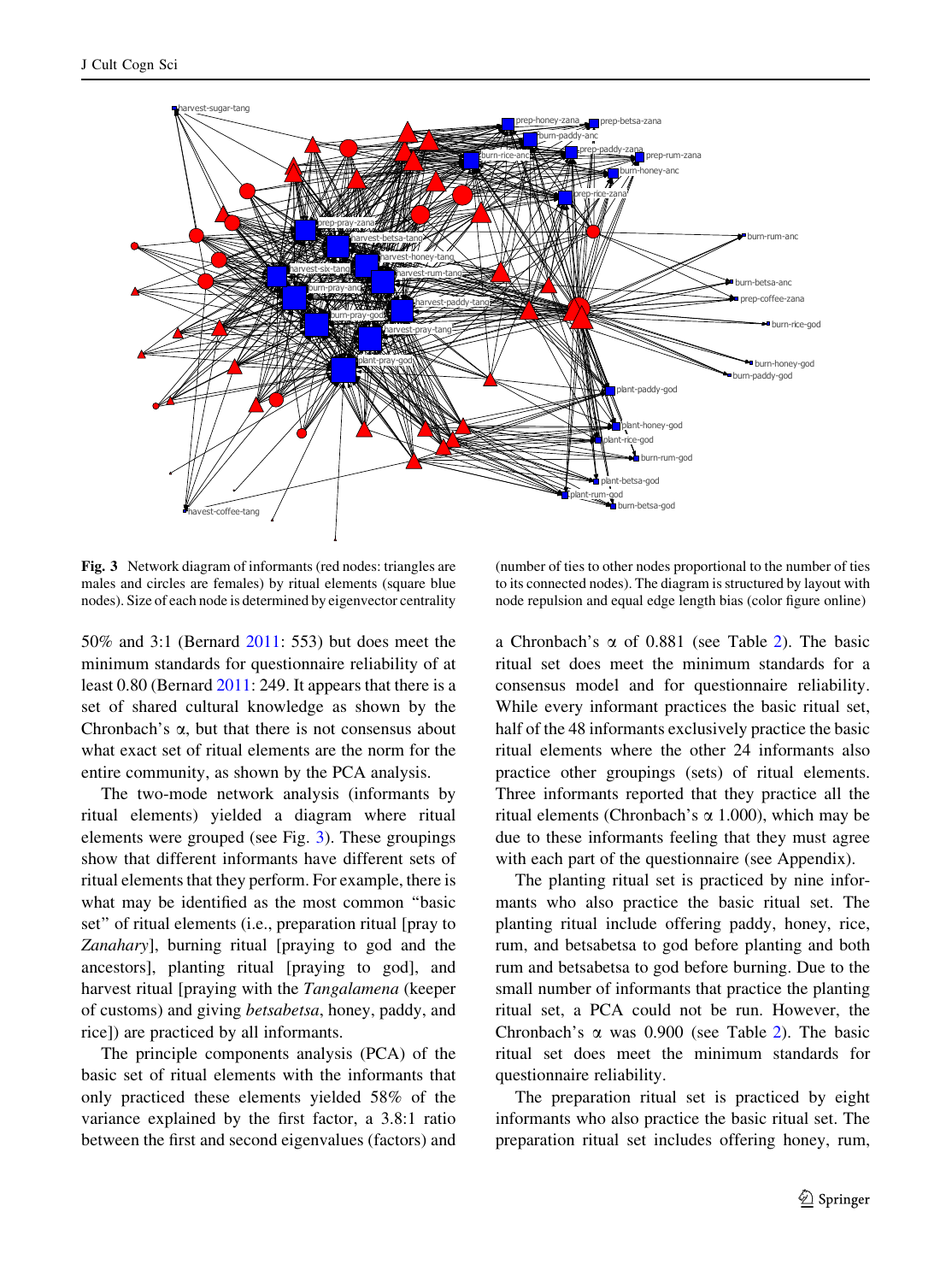

Fig. 3 Network diagram of informants (red nodes: triangles are males and circles are females) by ritual elements (square blue nodes). Size of each node is determined by eigenvector centrality

50% and 3:1 (Bernard [2011](#page-11-0): 553) but does meet the minimum standards for questionnaire reliability of at least 0.80 (Bernard [2011](#page-11-0): 249. It appears that there is a set of shared cultural knowledge as shown by the Chronbach's  $\alpha$ , but that there is not consensus about what exact set of ritual elements are the norm for the entire community, as shown by the PCA analysis.

The two-mode network analysis (informants by ritual elements) yielded a diagram where ritual elements were grouped (see Fig. 3). These groupings show that different informants have different sets of ritual elements that they perform. For example, there is what may be identified as the most common ''basic set'' of ritual elements (i.e., preparation ritual [pray to Zanahary], burning ritual [praying to god and the ancestors], planting ritual [praying to god], and harvest ritual [praying with the Tangalamena (keeper of customs) and giving betsabetsa, honey, paddy, and rice]) are practiced by all informants.

The principle components analysis (PCA) of the basic set of ritual elements with the informants that only practiced these elements yielded 58% of the variance explained by the first factor, a 3.8:1 ratio between the first and second eigenvalues (factors) and

(number of ties to other nodes proportional to the number of ties to its connected nodes). The diagram is structured by layout with node repulsion and equal edge length bias (color figure online)

a Chronbach's  $\alpha$  of 0.881 (see Table [2\)](#page-5-0). The basic ritual set does meet the minimum standards for a consensus model and for questionnaire reliability. While every informant practices the basic ritual set, half of the 48 informants exclusively practice the basic ritual elements where the other 24 informants also practice other groupings (sets) of ritual elements. Three informants reported that they practice all the ritual elements (Chronbach's  $\alpha$  1.000), which may be due to these informants feeling that they must agree with each part of the questionnaire (see Appendix).

The planting ritual set is practiced by nine informants who also practice the basic ritual set. The planting ritual include offering paddy, honey, rice, rum, and betsabetsa to god before planting and both rum and betsabetsa to god before burning. Due to the small number of informants that practice the planting ritual set, a PCA could not be run. However, the Chronbach's  $\alpha$  was 0.900 (see Table [2](#page-5-0)). The basic ritual set does meet the minimum standards for questionnaire reliability.

The preparation ritual set is practiced by eight informants who also practice the basic ritual set. The preparation ritual set includes offering honey, rum,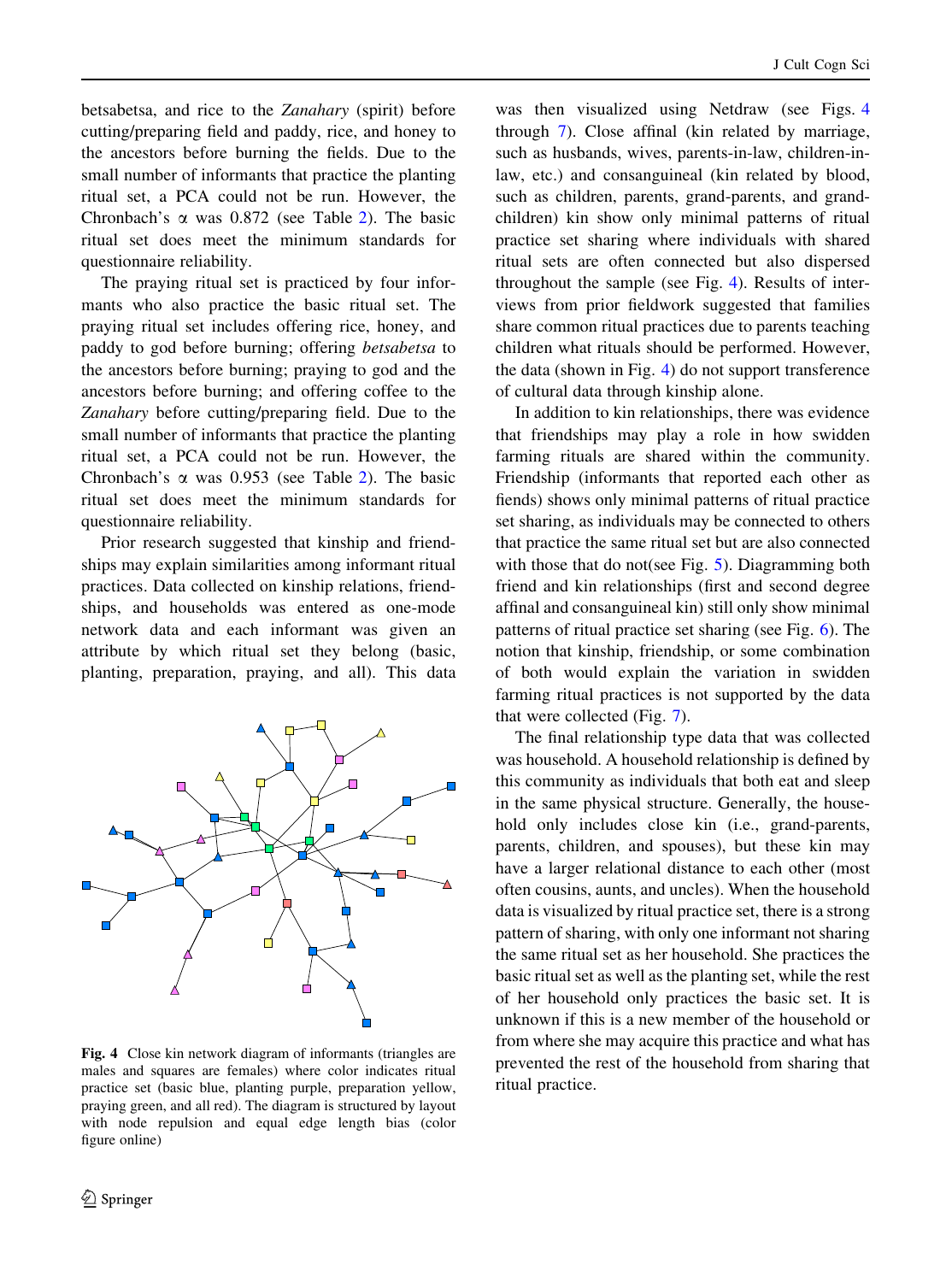betsabetsa, and rice to the Zanahary (spirit) before cutting/preparing field and paddy, rice, and honey to the ancestors before burning the fields. Due to the small number of informants that practice the planting ritual set, a PCA could not be run. However, the Chronbach's  $\alpha$  was 0.87[2](#page-5-0) (see Table 2). The basic ritual set does meet the minimum standards for questionnaire reliability.

The praying ritual set is practiced by four informants who also practice the basic ritual set. The praying ritual set includes offering rice, honey, and paddy to god before burning; offering betsabetsa to the ancestors before burning; praying to god and the ancestors before burning; and offering coffee to the Zanahary before cutting/preparing field. Due to the small number of informants that practice the planting ritual set, a PCA could not be run. However, the Chronbach's  $\alpha$  was 0.953 (see Table [2](#page-5-0)). The basic ritual set does meet the minimum standards for questionnaire reliability.

Prior research suggested that kinship and friendships may explain similarities among informant ritual practices. Data collected on kinship relations, friendships, and households was entered as one-mode network data and each informant was given an attribute by which ritual set they belong (basic, planting, preparation, praying, and all). This data



Fig. 4 Close kin network diagram of informants (triangles are males and squares are females) where color indicates ritual practice set (basic blue, planting purple, preparation yellow, praying green, and all red). The diagram is structured by layout with node repulsion and equal edge length bias (color figure online)

was then visualized using Netdraw (see Figs. 4 through [7\)](#page-8-0). Close affinal (kin related by marriage, such as husbands, wives, parents-in-law, children-inlaw, etc.) and consanguineal (kin related by blood, such as children, parents, grand-parents, and grandchildren) kin show only minimal patterns of ritual practice set sharing where individuals with shared ritual sets are often connected but also dispersed throughout the sample (see Fig. 4). Results of interviews from prior fieldwork suggested that families share common ritual practices due to parents teaching children what rituals should be performed. However, the data (shown in Fig. 4) do not support transference of cultural data through kinship alone.

In addition to kin relationships, there was evidence that friendships may play a role in how swidden farming rituals are shared within the community. Friendship (informants that reported each other as fiends) shows only minimal patterns of ritual practice set sharing, as individuals may be connected to others that practice the same ritual set but are also connected with those that do not (see Fig. [5\)](#page-8-0). Diagramming both friend and kin relationships (first and second degree affinal and consanguineal kin) still only show minimal patterns of ritual practice set sharing (see Fig. [6](#page-8-0)). The notion that kinship, friendship, or some combination of both would explain the variation in swidden farming ritual practices is not supported by the data that were collected (Fig. [7](#page-8-0)).

The final relationship type data that was collected was household. A household relationship is defined by this community as individuals that both eat and sleep in the same physical structure. Generally, the household only includes close kin (i.e., grand-parents, parents, children, and spouses), but these kin may have a larger relational distance to each other (most often cousins, aunts, and uncles). When the household data is visualized by ritual practice set, there is a strong pattern of sharing, with only one informant not sharing the same ritual set as her household. She practices the basic ritual set as well as the planting set, while the rest of her household only practices the basic set. It is unknown if this is a new member of the household or from where she may acquire this practice and what has prevented the rest of the household from sharing that ritual practice.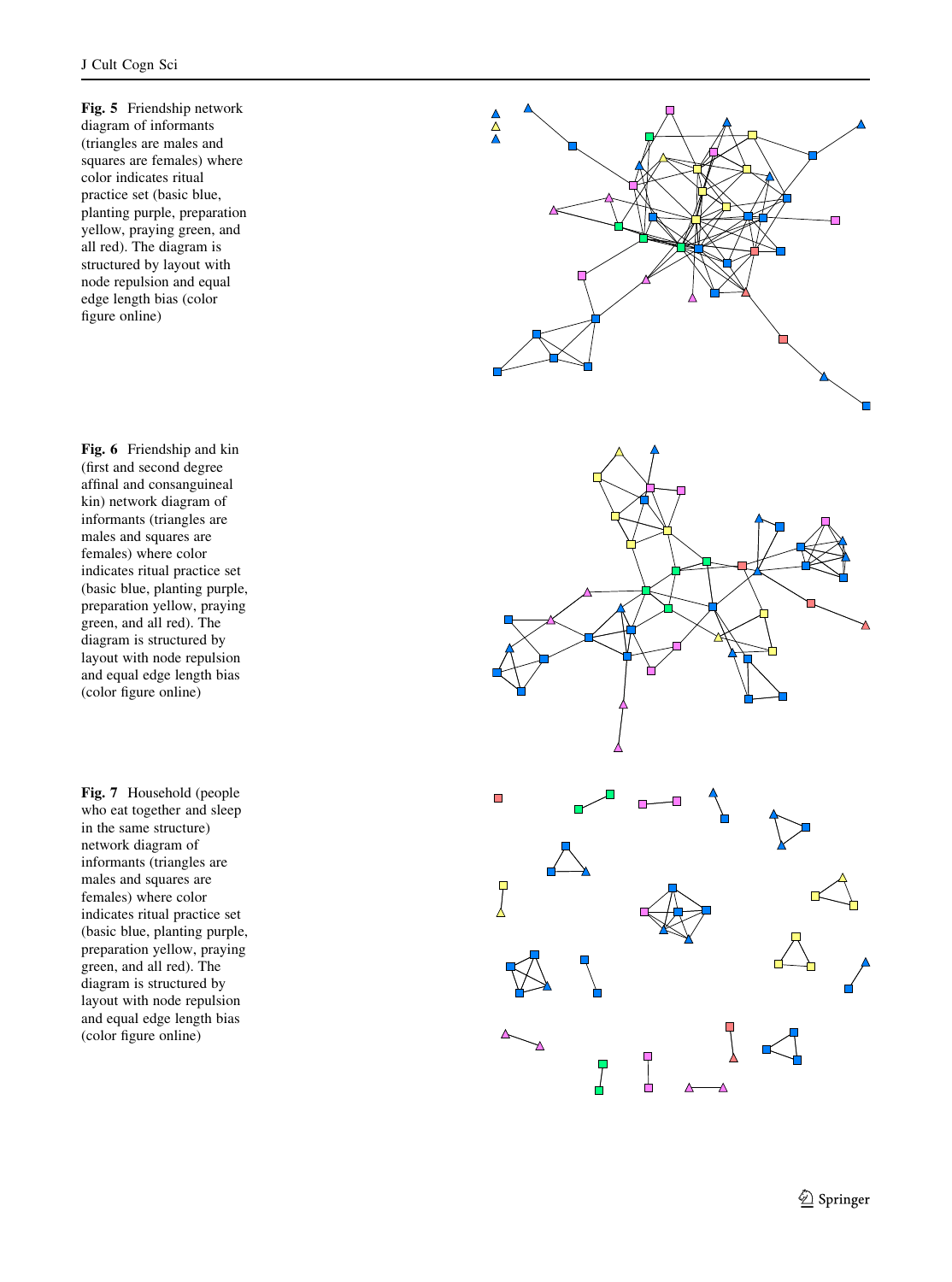<span id="page-8-0"></span>Fig. 5 Friendship network diagram of informants (triangles are males and squares are females) where color indicates ritual practice set (basic blue, planting purple, preparation yellow, praying green, and all red). The diagram is structured by layout with node repulsion and equal edge length bias (color figure online)

Fig. 6 Friendship and kin (first and second degree affinal and consanguineal kin) network diagram of informants (triangles are males and squares are females) where color indicates ritual practice set (basic blue, planting purple, preparation yellow, praying green, and all red). The diagram is structured by layout with node repulsion and equal edge length bias (color figure online)

Fig. 7 Household (people who eat together and sleep in the same structure) network diagram of informants (triangles are males and squares are females) where color indicates ritual practice set (basic blue, planting purple, preparation yellow, praying green, and all red). The diagram is structured by layout with node repulsion and equal edge length bias (color figure online)

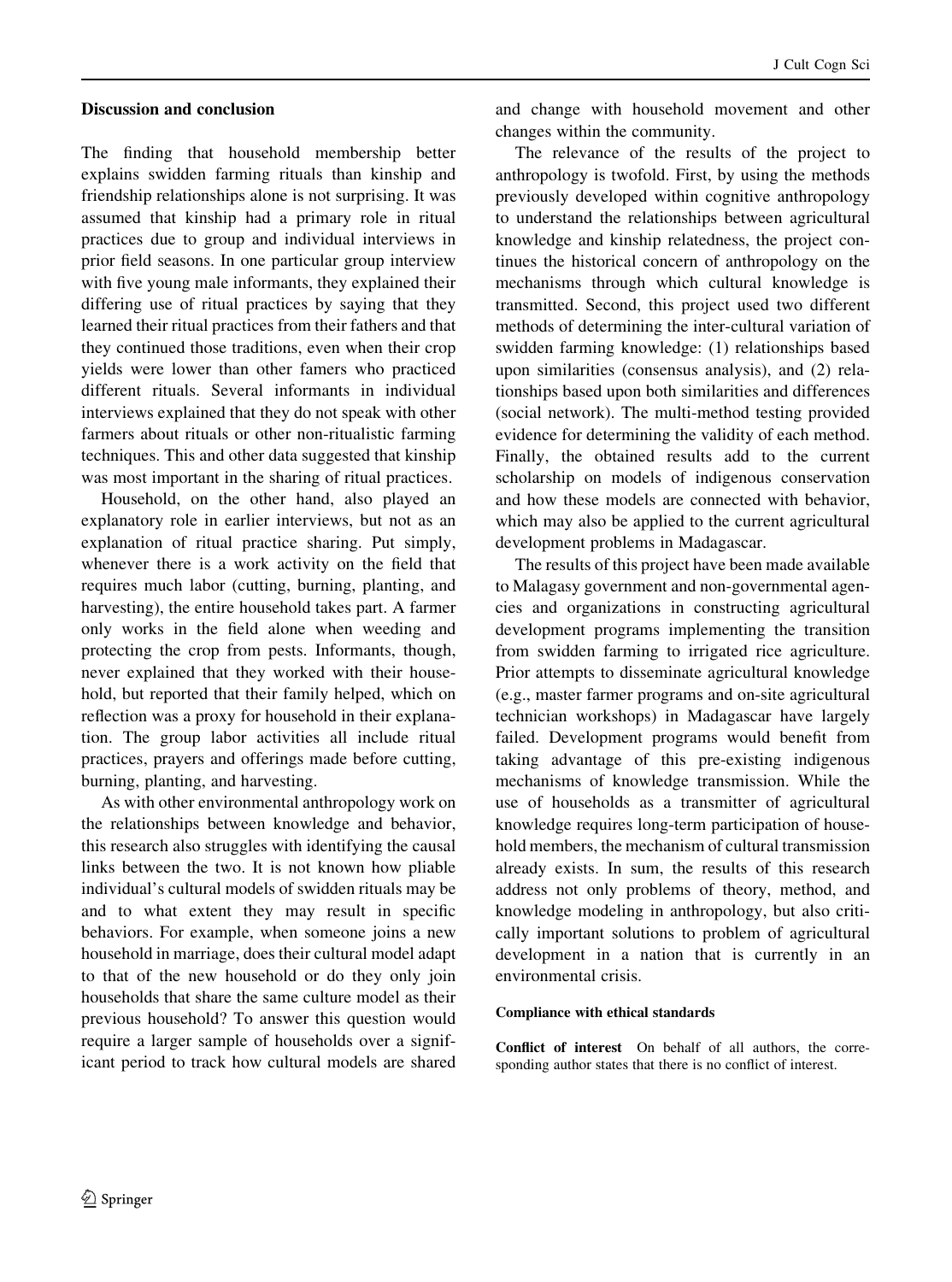### Discussion and conclusion

The finding that household membership better explains swidden farming rituals than kinship and friendship relationships alone is not surprising. It was assumed that kinship had a primary role in ritual practices due to group and individual interviews in prior field seasons. In one particular group interview with five young male informants, they explained their differing use of ritual practices by saying that they learned their ritual practices from their fathers and that they continued those traditions, even when their crop yields were lower than other famers who practiced different rituals. Several informants in individual interviews explained that they do not speak with other farmers about rituals or other non-ritualistic farming techniques. This and other data suggested that kinship was most important in the sharing of ritual practices.

Household, on the other hand, also played an explanatory role in earlier interviews, but not as an explanation of ritual practice sharing. Put simply, whenever there is a work activity on the field that requires much labor (cutting, burning, planting, and harvesting), the entire household takes part. A farmer only works in the field alone when weeding and protecting the crop from pests. Informants, though, never explained that they worked with their household, but reported that their family helped, which on reflection was a proxy for household in their explanation. The group labor activities all include ritual practices, prayers and offerings made before cutting, burning, planting, and harvesting.

As with other environmental anthropology work on the relationships between knowledge and behavior, this research also struggles with identifying the causal links between the two. It is not known how pliable individual's cultural models of swidden rituals may be and to what extent they may result in specific behaviors. For example, when someone joins a new household in marriage, does their cultural model adapt to that of the new household or do they only join households that share the same culture model as their previous household? To answer this question would require a larger sample of households over a significant period to track how cultural models are shared and change with household movement and other changes within the community.

The relevance of the results of the project to anthropology is twofold. First, by using the methods previously developed within cognitive anthropology to understand the relationships between agricultural knowledge and kinship relatedness, the project continues the historical concern of anthropology on the mechanisms through which cultural knowledge is transmitted. Second, this project used two different methods of determining the inter-cultural variation of swidden farming knowledge: (1) relationships based upon similarities (consensus analysis), and (2) relationships based upon both similarities and differences (social network). The multi-method testing provided evidence for determining the validity of each method. Finally, the obtained results add to the current scholarship on models of indigenous conservation and how these models are connected with behavior, which may also be applied to the current agricultural development problems in Madagascar.

The results of this project have been made available to Malagasy government and non-governmental agencies and organizations in constructing agricultural development programs implementing the transition from swidden farming to irrigated rice agriculture. Prior attempts to disseminate agricultural knowledge (e.g., master farmer programs and on-site agricultural technician workshops) in Madagascar have largely failed. Development programs would benefit from taking advantage of this pre-existing indigenous mechanisms of knowledge transmission. While the use of households as a transmitter of agricultural knowledge requires long-term participation of household members, the mechanism of cultural transmission already exists. In sum, the results of this research address not only problems of theory, method, and knowledge modeling in anthropology, but also critically important solutions to problem of agricultural development in a nation that is currently in an environmental crisis.

#### Compliance with ethical standards

Conflict of interest On behalf of all authors, the corresponding author states that there is no conflict of interest.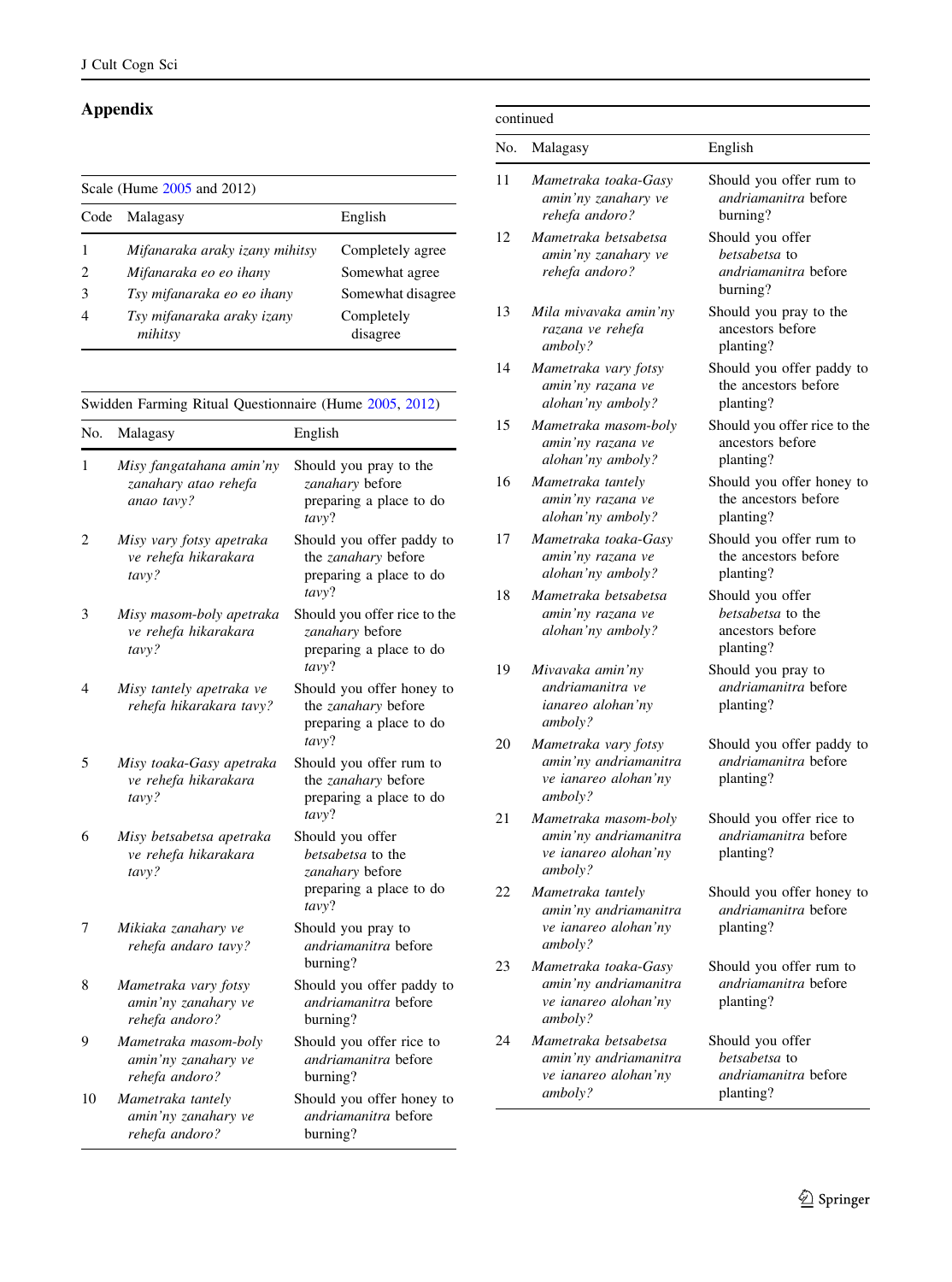# Appendix

| Scale (Hume 2005 and 2012) |                                       |                        |
|----------------------------|---------------------------------------|------------------------|
| Code                       | Malagasy                              | English                |
|                            | Mifanaraka araky izany mihitsy        | Completely agree       |
|                            | Mifanaraka eo eo ihany                | Somewhat agree         |
|                            | Tsy mifanaraka eo eo ihany            | Somewhat disagree      |
|                            | Tsy mifanaraka araky izany<br>mihitsy | Completely<br>disagree |

Swidden Farming Ritual Questionnaire (Hume [2005](#page-12-0), [2012](#page-12-0))

| No. | Malagasy                                                       | English                                                                                      |
|-----|----------------------------------------------------------------|----------------------------------------------------------------------------------------------|
| 1   | Misy fangatahana amin'ny<br>zanahary atao rehefa<br>anao tavy? | Should you pray to the<br>zanahary before<br>preparing a place to do<br>tavy?                |
| 2   | Misy vary fotsy apetraka<br>ve rehefa hikarakara<br>tavy?      | Should you offer paddy to<br>the zanahary before<br>preparing a place to do<br>tavy?         |
| 3   | Misy masom-boly apetraka<br>ve rehefa hikarakara<br>tavy?      | Should you offer rice to the<br>zanahary before<br>preparing a place to do<br>tavy?          |
| 4   | Misy tantely apetraka ve<br>rehefa hikarakara tavy?            | Should you offer honey to<br>the zanahary before<br>preparing a place to do<br>tavy?         |
| 5   | Misy toaka-Gasy apetraka<br>ve rehefa hikarakara<br>tavy?      | Should you offer rum to<br>the zanahary before<br>preparing a place to do<br>tavy?           |
| 6   | Misy betsabetsa apetraka<br>ve rehefa hikarakara<br>tavy?      | Should you offer<br>betsabetsa to the<br>zanahary before<br>preparing a place to do<br>tavy? |
| 7   | Mikiaka zanahary ve<br>rehefa andaro tavy?                     | Should you pray to<br>andriamanitra before<br>burning?                                       |
| 8   | Mametraka vary fotsy<br>amin'ny zanahary ve<br>rehefa andoro?  | Should you offer paddy to<br>andriamanitra before<br>burning?                                |
| 9   | Mametraka masom-boly<br>amin'ny zanahary ve<br>rehefa andoro?  | Should you offer rice to<br>andriamanitra before<br>burning?                                 |
| 10  | Mametraka tantely<br>amin'ny zanahary ve<br>rehefa andoro?     | Should you offer honey to<br>andriamanitra before<br>burning?                                |

| No. | Malagasy                                                                         | English                                                                |
|-----|----------------------------------------------------------------------------------|------------------------------------------------------------------------|
|     |                                                                                  |                                                                        |
| 11  | Mametraka toaka-Gasy<br>amin'ny zanahary ve<br>rehefa andoro?                    | Should you offer rum to<br>andriamanitra before<br>burning?            |
| 12  | Mametraka betsabetsa<br>amin'ny zanahary ve<br>rehefa andoro?                    | Should you offer<br>betsabetsa to<br>andriamanitra before              |
|     |                                                                                  | burning?                                                               |
| 13  | Mila mivavaka amin'ny<br>razana ve rehefa<br>amboly?                             | Should you pray to the<br>ancestors before<br>planting?                |
| 14  | Mametraka vary fotsy<br>amin'ny razana ve<br>alohan'ny amboly?                   | Should you offer paddy to<br>the ancestors before<br>planting?         |
| 15  | Mametraka masom-boly<br>amin'ny razana ve<br>alohan'ny amboly?                   | Should you offer rice to the<br>ancestors before<br>planting?          |
| 16  | Mametraka tantely<br>amin'ny razana ve<br>alohan'ny amboly?                      | Should you offer honey to<br>the ancestors before<br>planting?         |
| 17  | Mametraka toaka-Gasy<br>amin'ny razana ve<br>alohan'ny amboly?                   | Should you offer rum to<br>the ancestors before<br>planting?           |
| 18  | Mametraka betsabetsa<br>amin'ny razana ve<br>alohan'ny amboly?                   | Should you offer<br>betsabetsa to the<br>ancestors before<br>planting? |
| 19  | Mivavaka amin'ny<br>andriamanitra ve<br>ianareo alohan'ny<br>amboly?             | Should you pray to<br>andriamanitra before<br>planting?                |
| 20  | Mametraka vary fotsy<br>amin'ny andriamanitra<br>ve ianareo alohan'ny<br>amboly? | Should you offer paddy to<br>andriamanitra before<br>planting?         |
| 21  | Mametraka masom-boly<br>amin'ny andriamanitra<br>ve ianareo alohan'ny<br>amboly? | Should you offer rice to<br>andriamanitra before<br>planting?          |
| 22  | Mametraka tantely<br>amin'ny andriamanitra<br>ve ianareo alohan'ny<br>amboly?    | Should you offer honey to<br>andriamanitra before<br>planting?         |
| 23  | Mametraka toaka-Gasy<br>amin'ny andriamanitra<br>ve ianareo alohan'ny<br>amboly? | Should you offer rum to<br>andriamanitra before<br>planting?           |
| 24  | Mametraka betsabetsa<br>amin'ny andriamanitra<br>ve ianareo alohan'ny<br>amboly? | Should you offer<br>betsabetsa to<br>andriamanitra before<br>planting? |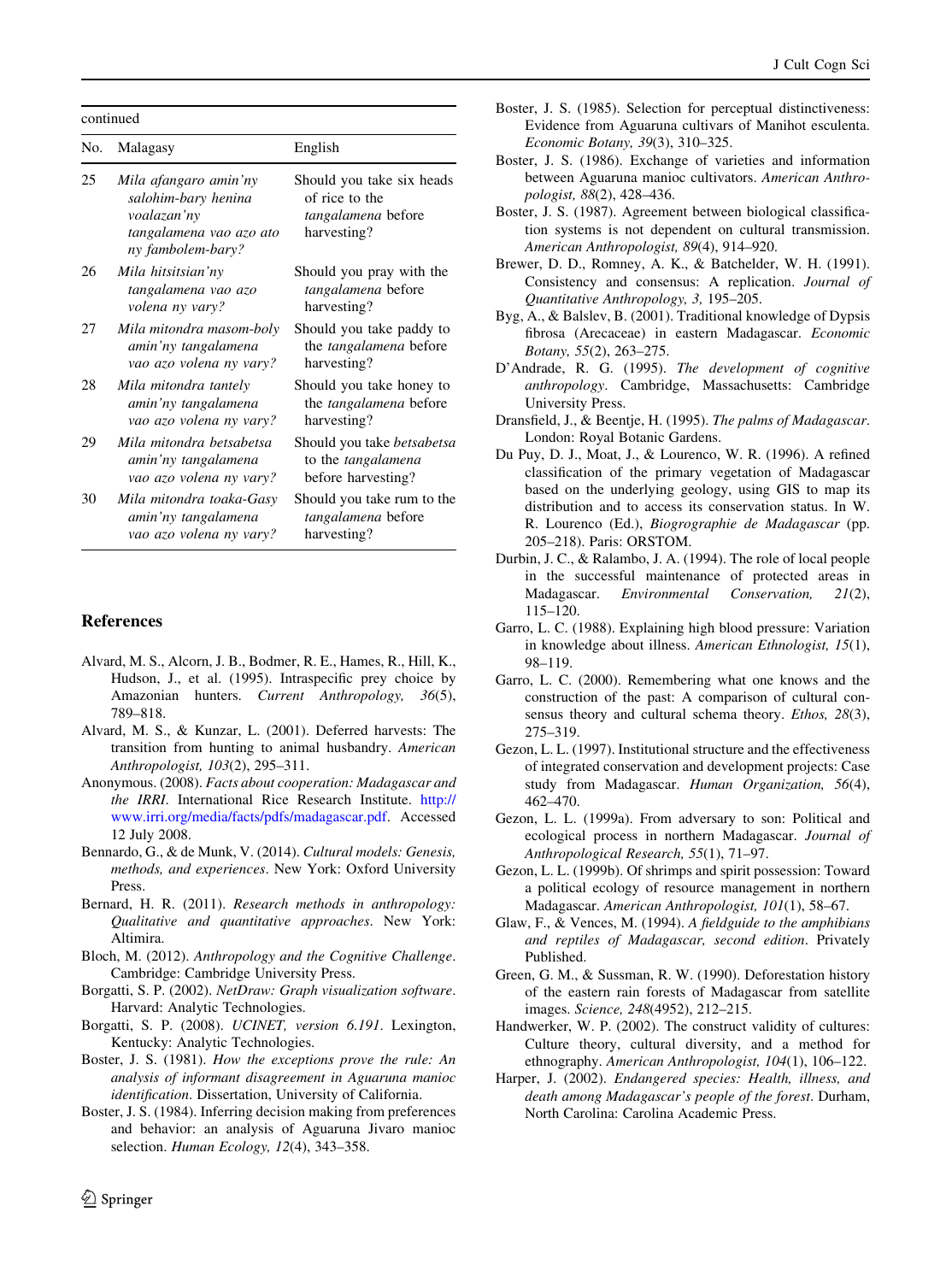<span id="page-11-0"></span>continued

| No. | Malagasy                                                                                                    | English                                                                          |
|-----|-------------------------------------------------------------------------------------------------------------|----------------------------------------------------------------------------------|
| 25  | Mila afangaro amin'ny<br>salohim-bary henina<br>voalazan'ny<br>tangalamena vao azo ato<br>ny fambolem-bary? | Should you take six heads<br>of rice to the<br>tangalamena before<br>harvesting? |
| 26  | Mila hitsitsian'ny<br>tangalamena vao azo<br>volena ny vary?                                                | Should you pray with the<br>tangalamena before<br>harvesting?                    |
| 27  | Mila mitondra masom-boly<br>amin'ny tangalamena<br>vao azo volena ny vary?                                  | Should you take paddy to<br>the <i>tangalamena</i> before<br>harvesting?         |
| 28  | Mila mitondra tantely<br>amin'ny tangalamena<br>vao azo volena ny vary?                                     | Should you take honey to<br>the tangalamena before<br>harvesting?                |
| 29  | Mila mitondra betsabetsa<br>amin'ny tangalamena<br>vao azo volena ny vary?                                  | Should you take <i>betsabetsa</i><br>to the tangalamena<br>before harvesting?    |
| 30  | Mila mitondra toaka-Gasy<br>amin'ny tangalamena<br>vao azo volena ny vary?                                  | Should you take rum to the<br>tangalamena before<br>harvesting?                  |

#### References

- Alvard, M. S., Alcorn, J. B., Bodmer, R. E., Hames, R., Hill, K., Hudson, J., et al. (1995). Intraspecific prey choice by Amazonian hunters. Current Anthropology, 36(5), 789–818.
- Alvard, M. S., & Kunzar, L. (2001). Deferred harvests: The transition from hunting to animal husbandry. American Anthropologist, 103(2), 295–311.
- Anonymous. (2008). Facts about cooperation: Madagascar and the IRRI. International Rice Research Institute. [http://](http://www.irri.org/media/facts/pdfs/madagascar.pdf) [www.irri.org/media/facts/pdfs/madagascar.pdf.](http://www.irri.org/media/facts/pdfs/madagascar.pdf) Accessed 12 July 2008.
- Bennardo, G., & de Munk, V. (2014). Cultural models: Genesis, methods, and experiences. New York: Oxford University Press.
- Bernard, H. R. (2011). Research methods in anthropology: Qualitative and quantitative approaches. New York: Altimira.
- Bloch, M. (2012). Anthropology and the Cognitive Challenge. Cambridge: Cambridge University Press.
- Borgatti, S. P. (2002). NetDraw: Graph visualization software. Harvard: Analytic Technologies.
- Borgatti, S. P. (2008). UCINET, version 6.191. Lexington, Kentucky: Analytic Technologies.
- Boster, J. S. (1981). How the exceptions prove the rule: An analysis of informant disagreement in Aguaruna manioc identification. Dissertation, University of California.
- Boster, J. S. (1984). Inferring decision making from preferences and behavior: an analysis of Aguaruna Jivaro manioc selection. Human Ecology, 12(4), 343-358.
- Boster, J. S. (1985). Selection for perceptual distinctiveness: Evidence from Aguaruna cultivars of Manihot esculenta. Economic Botany, 39(3), 310–325.
- Boster, J. S. (1986). Exchange of varieties and information between Aguaruna manioc cultivators. American Anthropologist, 88(2), 428–436.
- Boster, J. S. (1987). Agreement between biological classification systems is not dependent on cultural transmission. American Anthropologist, 89(4), 914–920.
- Brewer, D. D., Romney, A. K., & Batchelder, W. H. (1991). Consistency and consensus: A replication. Journal of Quantitative Anthropology, 3, 195–205.
- Byg, A., & Balslev, B. (2001). Traditional knowledge of Dypsis fibrosa (Arecaceae) in eastern Madagascar. Economic Botany, 55(2), 263–275.
- D'Andrade, R. G. (1995). The development of cognitive anthropology. Cambridge, Massachusetts: Cambridge University Press.
- Dransfield, J., & Beentje, H. (1995). The palms of Madagascar. London: Royal Botanic Gardens.
- Du Puy, D. J., Moat, J., & Lourenco, W. R. (1996). A refined classification of the primary vegetation of Madagascar based on the underlying geology, using GIS to map its distribution and to access its conservation status. In W. R. Lourenco (Ed.), Biogrographie de Madagascar (pp. 205–218). Paris: ORSTOM.
- Durbin, J. C., & Ralambo, J. A. (1994). The role of local people in the successful maintenance of protected areas in Madagascar. Environmental Conservation, 21(2), 115–120.
- Garro, L. C. (1988). Explaining high blood pressure: Variation in knowledge about illness. American Ethnologist, 15(1), 98–119.
- Garro, L. C. (2000). Remembering what one knows and the construction of the past: A comparison of cultural consensus theory and cultural schema theory. *Ethos*, 28(3), 275–319.
- Gezon, L. L. (1997). Institutional structure and the effectiveness of integrated conservation and development projects: Case study from Madagascar. Human Organization, 56(4), 462–470.
- Gezon, L. L. (1999a). From adversary to son: Political and ecological process in northern Madagascar. Journal of Anthropological Research, 55(1), 71–97.
- Gezon, L. L. (1999b). Of shrimps and spirit possession: Toward a political ecology of resource management in northern Madagascar. American Anthropologist, 101(1), 58–67.
- Glaw, F., & Vences, M. (1994). A fieldguide to the amphibians and reptiles of Madagascar, second edition. Privately Published.
- Green, G. M., & Sussman, R. W. (1990). Deforestation history of the eastern rain forests of Madagascar from satellite images. Science, 248(4952), 212–215.
- Handwerker, W. P. (2002). The construct validity of cultures: Culture theory, cultural diversity, and a method for ethnography. American Anthropologist, 104(1), 106–122.
- Harper, J. (2002). Endangered species: Health, illness, and death among Madagascar's people of the forest. Durham, North Carolina: Carolina Academic Press.